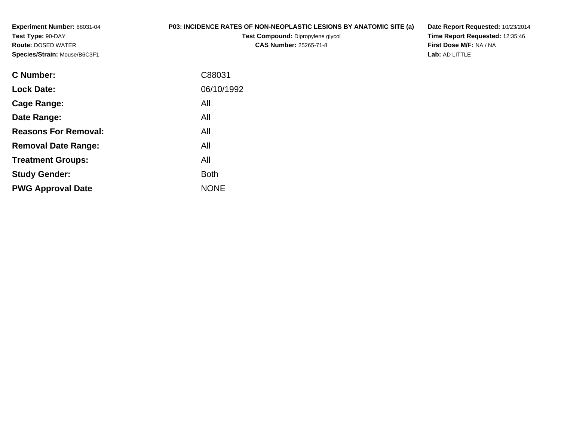**Experiment Number:** 88031-04**Test Type:** 90-DAY **Route:** DOSED WATER**Species/Strain:** Mouse/B6C3F1

## **P03: INCIDENCE RATES OF NON-NEOPLASTIC LESIONS BY ANATOMIC SITE (a)**

**Test Compound:** Dipropylene glycol **CAS Number:** 25265-71-8

**Date Report Requested:** 10/23/2014 **Time Report Requested:** 12:35:46**First Dose M/F:** NA / NA**Lab:** AD LITTLE

| C88031      |
|-------------|
| 06/10/1992  |
| All         |
| All         |
| All         |
| All         |
| All         |
| <b>Both</b> |
| <b>NONE</b> |
|             |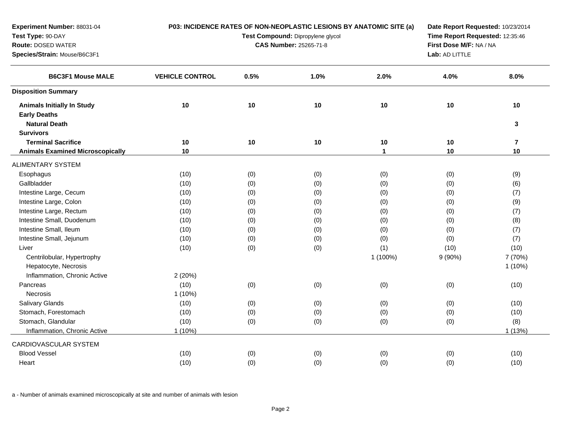| Experiment Number: 88031-04             | P03: INCIDENCE RATES OF NON-NEOPLASTIC LESIONS BY ANATOMIC SITE (a) |      |                               | Date Report Requested: 10/23/2014 |                         |                |
|-----------------------------------------|---------------------------------------------------------------------|------|-------------------------------|-----------------------------------|-------------------------|----------------|
| Test Type: 90-DAY                       | Test Compound: Dipropylene glycol                                   |      |                               | Time Report Requested: 12:35:46   |                         |                |
| <b>Route: DOSED WATER</b>               |                                                                     |      | <b>CAS Number: 25265-71-8</b> |                                   | First Dose M/F: NA / NA |                |
| Species/Strain: Mouse/B6C3F1            |                                                                     |      |                               |                                   | Lab: AD LITTLE          |                |
| <b>B6C3F1 Mouse MALE</b>                | <b>VEHICLE CONTROL</b>                                              | 0.5% | 1.0%                          | 2.0%                              | 4.0%                    | 8.0%           |
| <b>Disposition Summary</b>              |                                                                     |      |                               |                                   |                         |                |
| <b>Animals Initially In Study</b>       | 10                                                                  | 10   | 10                            | 10                                | 10                      | 10             |
| <b>Early Deaths</b>                     |                                                                     |      |                               |                                   |                         |                |
| <b>Natural Death</b>                    |                                                                     |      |                               |                                   |                         | $\mathbf{3}$   |
| <b>Survivors</b>                        |                                                                     |      |                               |                                   |                         |                |
| <b>Terminal Sacrifice</b>               | 10                                                                  | 10   | 10                            | 10                                | 10                      | $\overline{7}$ |
| <b>Animals Examined Microscopically</b> | 10                                                                  |      |                               | $\mathbf{1}$                      | 10                      | 10             |
| <b>ALIMENTARY SYSTEM</b>                |                                                                     |      |                               |                                   |                         |                |
| Esophagus                               | (10)                                                                | (0)  | (0)                           | (0)                               | (0)                     | (9)            |
| Gallbladder                             | (10)                                                                | (0)  | (0)                           | (0)                               | (0)                     | (6)            |
| Intestine Large, Cecum                  | (10)                                                                | (0)  | (0)                           | (0)                               | (0)                     | (7)            |
| Intestine Large, Colon                  | (10)                                                                | (0)  | (0)                           | (0)                               | (0)                     | (9)            |
| Intestine Large, Rectum                 | (10)                                                                | (0)  | (0)                           | (0)                               | (0)                     | (7)            |
| Intestine Small, Duodenum               | (10)                                                                | (0)  | (0)                           | (0)                               | (0)                     | (8)            |
| Intestine Small, Ileum                  | (10)                                                                | (0)  | (0)                           | (0)                               | (0)                     | (7)            |
| Intestine Small, Jejunum                | (10)                                                                | (0)  | (0)                           | (0)                               | (0)                     | (7)            |
| Liver                                   | (10)                                                                | (0)  | (0)                           | (1)                               | (10)                    | (10)           |
| Centrilobular, Hypertrophy              |                                                                     |      |                               | 1 (100%)                          | $9(90\%)$               | 7 (70%)        |
| Hepatocyte, Necrosis                    |                                                                     |      |                               |                                   |                         | $1(10\%)$      |
| Inflammation, Chronic Active            | 2 (20%)                                                             |      |                               |                                   |                         |                |
| Pancreas                                | (10)                                                                | (0)  | (0)                           | (0)                               | (0)                     | (10)           |
| Necrosis                                | 1(10%)                                                              |      |                               |                                   |                         |                |
| Salivary Glands                         | (10)                                                                | (0)  | (0)                           | (0)                               | (0)                     | (10)           |
| Stomach, Forestomach                    | (10)                                                                | (0)  | (0)                           | (0)                               | (0)                     | (10)           |
| Stomach, Glandular                      | (10)                                                                | (0)  | (0)                           | (0)                               | (0)                     | (8)            |
| Inflammation, Chronic Active            | $1(10\%)$                                                           |      |                               |                                   |                         | 1 (13%)        |
| CARDIOVASCULAR SYSTEM                   |                                                                     |      |                               |                                   |                         |                |
| <b>Blood Vessel</b>                     | (10)                                                                | (0)  | (0)                           | (0)                               | (0)                     | (10)           |
| Heart                                   | (10)                                                                | (0)  | (0)                           | (0)                               | (0)                     | (10)           |
|                                         |                                                                     |      |                               |                                   |                         |                |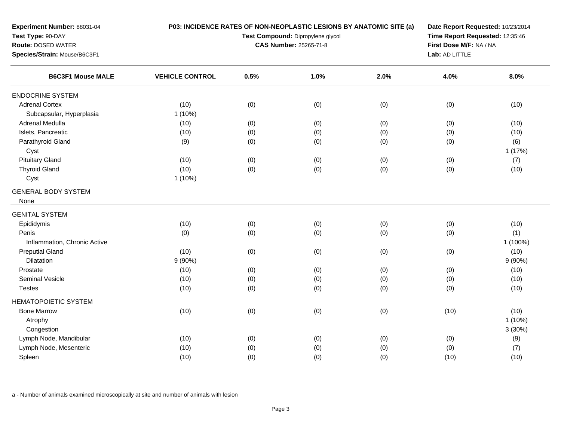| Experiment Number: 88031-04<br>Test Type: 90-DAY<br>Route: DOSED WATER<br>Species/Strain: Mouse/B6C3F1 |                        | P03: INCIDENCE RATES OF NON-NEOPLASTIC LESIONS BY ANATOMIC SITE (a)<br>Date Report Requested: 10/23/2014<br>Time Report Requested: 12:35:46<br>Test Compound: Dipropylene glycol<br>First Dose M/F: NA / NA<br>CAS Number: 25265-71-8 |      |      |                |           |
|--------------------------------------------------------------------------------------------------------|------------------------|---------------------------------------------------------------------------------------------------------------------------------------------------------------------------------------------------------------------------------------|------|------|----------------|-----------|
|                                                                                                        |                        |                                                                                                                                                                                                                                       |      |      | Lab: AD LITTLE |           |
| <b>B6C3F1 Mouse MALE</b>                                                                               | <b>VEHICLE CONTROL</b> | 0.5%                                                                                                                                                                                                                                  | 1.0% | 2.0% | 4.0%           | 8.0%      |
| <b>ENDOCRINE SYSTEM</b>                                                                                |                        |                                                                                                                                                                                                                                       |      |      |                |           |
| <b>Adrenal Cortex</b>                                                                                  | (10)                   | (0)                                                                                                                                                                                                                                   | (0)  | (0)  | (0)            | (10)      |
| Subcapsular, Hyperplasia                                                                               | 1(10%)                 |                                                                                                                                                                                                                                       |      |      |                |           |
| Adrenal Medulla                                                                                        | (10)                   | (0)                                                                                                                                                                                                                                   | (0)  | (0)  | (0)            | (10)      |
| Islets, Pancreatic                                                                                     | (10)                   | (0)                                                                                                                                                                                                                                   | (0)  | (0)  | (0)            | (10)      |
| Parathyroid Gland                                                                                      | (9)                    | (0)                                                                                                                                                                                                                                   | (0)  | (0)  | (0)            | (6)       |
| Cyst                                                                                                   |                        |                                                                                                                                                                                                                                       |      |      |                | 1(17%)    |
| <b>Pituitary Gland</b>                                                                                 | (10)                   | (0)                                                                                                                                                                                                                                   | (0)  | (0)  | (0)            | (7)       |
| <b>Thyroid Gland</b>                                                                                   | (10)                   | (0)                                                                                                                                                                                                                                   | (0)  | (0)  | (0)            | (10)      |
| Cyst                                                                                                   | 1(10%)                 |                                                                                                                                                                                                                                       |      |      |                |           |
| <b>GENERAL BODY SYSTEM</b>                                                                             |                        |                                                                                                                                                                                                                                       |      |      |                |           |
| None                                                                                                   |                        |                                                                                                                                                                                                                                       |      |      |                |           |
|                                                                                                        |                        |                                                                                                                                                                                                                                       |      |      |                |           |
| <b>GENITAL SYSTEM</b>                                                                                  |                        |                                                                                                                                                                                                                                       |      |      |                |           |
| Epididymis                                                                                             | (10)                   | (0)                                                                                                                                                                                                                                   | (0)  | (0)  | (0)            | (10)      |
| Penis                                                                                                  | (0)                    | (0)                                                                                                                                                                                                                                   | (0)  | (0)  | (0)            | (1)       |
| Inflammation, Chronic Active                                                                           |                        |                                                                                                                                                                                                                                       |      |      |                | 1 (100%)  |
| <b>Preputial Gland</b>                                                                                 | (10)                   | (0)                                                                                                                                                                                                                                   | (0)  | (0)  | (0)            | (10)      |
| Dilatation                                                                                             | 9(90%)                 |                                                                                                                                                                                                                                       |      |      |                | 9(90%)    |
| Prostate                                                                                               | (10)                   | (0)                                                                                                                                                                                                                                   | (0)  | (0)  | (0)            | (10)      |
| Seminal Vesicle                                                                                        | (10)                   | (0)                                                                                                                                                                                                                                   | (0)  | (0)  | (0)            | (10)      |
| <b>Testes</b>                                                                                          | (10)                   | (0)                                                                                                                                                                                                                                   | (0)  | (0)  | (0)            | (10)      |
| <b>HEMATOPOIETIC SYSTEM</b>                                                                            |                        |                                                                                                                                                                                                                                       |      |      |                |           |
| <b>Bone Marrow</b>                                                                                     | (10)                   | (0)                                                                                                                                                                                                                                   | (0)  | (0)  | (10)           | (10)      |
| Atrophy                                                                                                |                        |                                                                                                                                                                                                                                       |      |      |                | $1(10\%)$ |
| Congestion                                                                                             |                        |                                                                                                                                                                                                                                       |      |      |                | 3(30%)    |
| Lymph Node, Mandibular                                                                                 | (10)                   | (0)                                                                                                                                                                                                                                   | (0)  | (0)  | (0)            | (9)       |
| Lymph Node, Mesenteric                                                                                 | (10)                   | (0)                                                                                                                                                                                                                                   | (0)  | (0)  | (0)            | (7)       |
| Spleen                                                                                                 | (10)                   | (0)                                                                                                                                                                                                                                   | (0)  | (0)  | (10)           | (10)      |
|                                                                                                        |                        |                                                                                                                                                                                                                                       |      |      |                |           |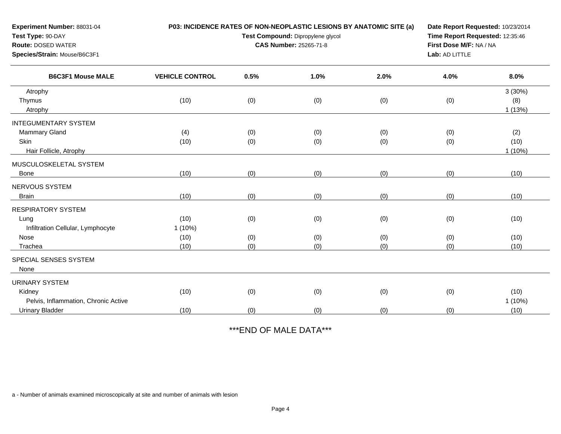| Experiment Number: 88031-04<br>Test Type: 90-DAY<br><b>Route: DOSED WATER</b> |                        | P03: INCIDENCE RATES OF NON-NEOPLASTIC LESIONS BY ANATOMIC SITE (a)<br>Test Compound: Dipropylene glycol<br><b>CAS Number: 25265-71-8</b> |            |            |                |                          |
|-------------------------------------------------------------------------------|------------------------|-------------------------------------------------------------------------------------------------------------------------------------------|------------|------------|----------------|--------------------------|
| Species/Strain: Mouse/B6C3F1                                                  |                        |                                                                                                                                           |            |            | Lab: AD LITTLE |                          |
| <b>B6C3F1 Mouse MALE</b>                                                      | <b>VEHICLE CONTROL</b> | 0.5%                                                                                                                                      | 1.0%       | 2.0%       | 4.0%           | 8.0%                     |
| Atrophy                                                                       |                        |                                                                                                                                           |            |            |                | 3(30%)                   |
| Thymus<br>Atrophy                                                             | (10)                   | (0)                                                                                                                                       | (0)        | (0)        | (0)            | (8)<br>1(13%)            |
| <b>INTEGUMENTARY SYSTEM</b>                                                   |                        |                                                                                                                                           |            |            |                |                          |
| <b>Mammary Gland</b><br>Skin<br>Hair Follicle, Atrophy                        | (4)<br>(10)            | (0)<br>(0)                                                                                                                                | (0)<br>(0) | (0)<br>(0) | (0)<br>(0)     | (2)<br>(10)<br>$1(10\%)$ |
| MUSCULOSKELETAL SYSTEM                                                        |                        |                                                                                                                                           |            |            |                |                          |
| Bone                                                                          | (10)                   | (0)                                                                                                                                       | (0)        | (0)        | (0)            | (10)                     |
| NERVOUS SYSTEM<br><b>Brain</b>                                                | (10)                   | (0)                                                                                                                                       | (0)        | (0)        | (0)            | (10)                     |
| <b>RESPIRATORY SYSTEM</b>                                                     |                        |                                                                                                                                           |            |            |                |                          |
| Lung<br>Infiltration Cellular, Lymphocyte                                     | (10)<br>$1(10\%)$      | (0)                                                                                                                                       | (0)        | (0)        | (0)            | (10)                     |
| Nose                                                                          | (10)                   | (0)                                                                                                                                       | (0)        | (0)        | (0)            | (10)                     |
| Trachea                                                                       | (10)                   | (0)                                                                                                                                       | (0)        | (0)        | (0)            | (10)                     |
| SPECIAL SENSES SYSTEM<br>None                                                 |                        |                                                                                                                                           |            |            |                |                          |
| <b>URINARY SYSTEM</b>                                                         |                        |                                                                                                                                           |            |            |                |                          |
| Kidney<br>Pelvis, Inflammation, Chronic Active                                | (10)                   | (0)                                                                                                                                       | (0)        | (0)        | (0)            | (10)<br>1(10%)           |
| <b>Urinary Bladder</b>                                                        | (10)                   | (0)                                                                                                                                       | (0)        | (0)        | (0)            | (10)                     |

\*\*\*END OF MALE DATA\*\*\*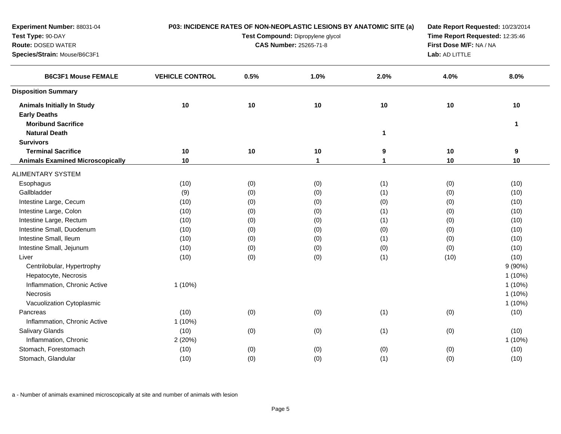| Experiment Number: 88031-04             |                                   |      |                               | P03: INCIDENCE RATES OF NON-NEOPLASTIC LESIONS BY ANATOMIC SITE (a) | Date Report Requested: 10/23/2014         |              |  |
|-----------------------------------------|-----------------------------------|------|-------------------------------|---------------------------------------------------------------------|-------------------------------------------|--------------|--|
| Test Type: 90-DAY                       | Test Compound: Dipropylene glycol |      |                               | Time Report Requested: 12:35:46                                     |                                           |              |  |
| <b>Route: DOSED WATER</b>               |                                   |      | <b>CAS Number: 25265-71-8</b> |                                                                     | First Dose M/F: NA / NA<br>Lab: AD LITTLE |              |  |
| Species/Strain: Mouse/B6C3F1            |                                   |      |                               |                                                                     |                                           |              |  |
| <b>B6C3F1 Mouse FEMALE</b>              | <b>VEHICLE CONTROL</b>            | 0.5% | 1.0%                          | 2.0%                                                                | 4.0%                                      | 8.0%         |  |
| <b>Disposition Summary</b>              |                                   |      |                               |                                                                     |                                           |              |  |
| <b>Animals Initially In Study</b>       | 10                                | 10   | $10$                          | 10                                                                  | 10                                        | 10           |  |
| <b>Early Deaths</b>                     |                                   |      |                               |                                                                     |                                           |              |  |
| <b>Moribund Sacrifice</b>               |                                   |      |                               |                                                                     |                                           | $\mathbf{1}$ |  |
| <b>Natural Death</b>                    |                                   |      |                               | $\mathbf{1}$                                                        |                                           |              |  |
| <b>Survivors</b>                        |                                   |      |                               |                                                                     |                                           |              |  |
| <b>Terminal Sacrifice</b>               | 10                                | 10   | 10                            | 9                                                                   | 10                                        | 9            |  |
| <b>Animals Examined Microscopically</b> | 10                                |      | $\mathbf 1$                   | $\mathbf{1}$                                                        | 10                                        | 10           |  |
| <b>ALIMENTARY SYSTEM</b>                |                                   |      |                               |                                                                     |                                           |              |  |
| Esophagus                               | (10)                              | (0)  | (0)                           | (1)                                                                 | (0)                                       | (10)         |  |
| Gallbladder                             | (9)                               | (0)  | (0)                           | (1)                                                                 | (0)                                       | (10)         |  |
| Intestine Large, Cecum                  | (10)                              | (0)  | (0)                           | (0)                                                                 | (0)                                       | (10)         |  |
| Intestine Large, Colon                  | (10)                              | (0)  | (0)                           | (1)                                                                 | (0)                                       | (10)         |  |
| Intestine Large, Rectum                 | (10)                              | (0)  | (0)                           | (1)                                                                 | (0)                                       | (10)         |  |
| Intestine Small, Duodenum               | (10)                              | (0)  | (0)                           | (0)                                                                 | (0)                                       | (10)         |  |
| Intestine Small, Ileum                  | (10)                              | (0)  | (0)                           | (1)                                                                 | (0)                                       | (10)         |  |
| Intestine Small, Jejunum                | (10)                              | (0)  | (0)                           | (0)                                                                 | (0)                                       | (10)         |  |
| Liver                                   | (10)                              | (0)  | (0)                           | (1)                                                                 | (10)                                      | (10)         |  |
| Centrilobular, Hypertrophy              |                                   |      |                               |                                                                     |                                           | $9(90\%)$    |  |
| Hepatocyte, Necrosis                    |                                   |      |                               |                                                                     |                                           | $1(10\%)$    |  |
| Inflammation, Chronic Active            | $1(10\%)$                         |      |                               |                                                                     |                                           | $1(10\%)$    |  |
| Necrosis                                |                                   |      |                               |                                                                     |                                           | 1 (10%)      |  |
| Vacuolization Cytoplasmic               |                                   |      |                               |                                                                     |                                           | $1(10\%)$    |  |
| Pancreas                                | (10)                              | (0)  | (0)                           | (1)                                                                 | (0)                                       | (10)         |  |
| Inflammation, Chronic Active            | $1(10\%)$                         |      |                               |                                                                     |                                           |              |  |
| Salivary Glands                         | (10)                              | (0)  | (0)                           | (1)                                                                 | (0)                                       | (10)         |  |
| Inflammation, Chronic                   | 2(20%)                            |      |                               |                                                                     |                                           | $1(10\%)$    |  |
| Stomach, Forestomach                    | (10)                              | (0)  | (0)                           | (0)                                                                 | (0)                                       | (10)         |  |
| Stomach, Glandular                      | (10)                              | (0)  | (0)                           | (1)                                                                 | (0)                                       | (10)         |  |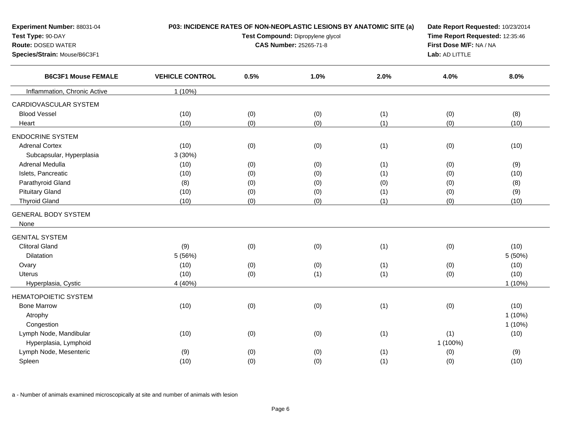| Experiment Number: 88031-04<br>Test Type: 90-DAY<br><b>Route: DOSED WATER</b><br>Species/Strain: Mouse/B6C3F1 |                        | P03: INCIDENCE RATES OF NON-NEOPLASTIC LESIONS BY ANATOMIC SITE (a)<br>Test Compound: Dipropylene glycol<br><b>CAS Number: 25265-71-8</b> |      |      |          | Date Report Requested: 10/23/2014<br>Time Report Requested: 12:35:46<br>First Dose M/F: NA / NA<br>Lab: AD LITTLE |  |  |
|---------------------------------------------------------------------------------------------------------------|------------------------|-------------------------------------------------------------------------------------------------------------------------------------------|------|------|----------|-------------------------------------------------------------------------------------------------------------------|--|--|
| <b>B6C3F1 Mouse FEMALE</b>                                                                                    | <b>VEHICLE CONTROL</b> | 0.5%                                                                                                                                      | 1.0% | 2.0% | 4.0%     | 8.0%                                                                                                              |  |  |
| Inflammation, Chronic Active                                                                                  | $1(10\%)$              |                                                                                                                                           |      |      |          |                                                                                                                   |  |  |
| CARDIOVASCULAR SYSTEM                                                                                         |                        |                                                                                                                                           |      |      |          |                                                                                                                   |  |  |
| <b>Blood Vessel</b>                                                                                           | (10)                   | (0)                                                                                                                                       | (0)  | (1)  | (0)      | (8)                                                                                                               |  |  |
| Heart                                                                                                         | (10)                   | (0)                                                                                                                                       | (0)  | (1)  | (0)      | (10)                                                                                                              |  |  |
| <b>ENDOCRINE SYSTEM</b>                                                                                       |                        |                                                                                                                                           |      |      |          |                                                                                                                   |  |  |
| <b>Adrenal Cortex</b>                                                                                         | (10)                   | (0)                                                                                                                                       | (0)  | (1)  | (0)      | (10)                                                                                                              |  |  |
| Subcapsular, Hyperplasia                                                                                      | 3(30%)                 |                                                                                                                                           |      |      |          |                                                                                                                   |  |  |
| <b>Adrenal Medulla</b>                                                                                        | (10)                   | (0)                                                                                                                                       | (0)  | (1)  | (0)      | (9)                                                                                                               |  |  |
| Islets, Pancreatic                                                                                            | (10)                   | (0)                                                                                                                                       | (0)  | (1)  | (0)      | (10)                                                                                                              |  |  |
| Parathyroid Gland                                                                                             | (8)                    | (0)                                                                                                                                       | (0)  | (0)  | (0)      | (8)                                                                                                               |  |  |
| <b>Pituitary Gland</b>                                                                                        | (10)                   | (0)                                                                                                                                       | (0)  | (1)  | (0)      | (9)                                                                                                               |  |  |
| <b>Thyroid Gland</b>                                                                                          | (10)                   | (0)                                                                                                                                       | (0)  | (1)  | (0)      | (10)                                                                                                              |  |  |
| <b>GENERAL BODY SYSTEM</b>                                                                                    |                        |                                                                                                                                           |      |      |          |                                                                                                                   |  |  |
| None                                                                                                          |                        |                                                                                                                                           |      |      |          |                                                                                                                   |  |  |
| <b>GENITAL SYSTEM</b>                                                                                         |                        |                                                                                                                                           |      |      |          |                                                                                                                   |  |  |
| <b>Clitoral Gland</b>                                                                                         | (9)                    | (0)                                                                                                                                       | (0)  | (1)  | (0)      | (10)                                                                                                              |  |  |
| Dilatation                                                                                                    | 5 (56%)                |                                                                                                                                           |      |      |          | 5 (50%)                                                                                                           |  |  |
| Ovary                                                                                                         | (10)                   | (0)                                                                                                                                       | (0)  | (1)  | (0)      | (10)                                                                                                              |  |  |
| <b>Uterus</b>                                                                                                 | (10)                   | (0)                                                                                                                                       | (1)  | (1)  | (0)      | (10)                                                                                                              |  |  |
| Hyperplasia, Cystic                                                                                           | 4 (40%)                |                                                                                                                                           |      |      |          | $1(10\%)$                                                                                                         |  |  |
| HEMATOPOIETIC SYSTEM                                                                                          |                        |                                                                                                                                           |      |      |          |                                                                                                                   |  |  |
| <b>Bone Marrow</b>                                                                                            | (10)                   | (0)                                                                                                                                       | (0)  | (1)  | (0)      | (10)                                                                                                              |  |  |
| Atrophy                                                                                                       |                        |                                                                                                                                           |      |      |          | $1(10\%)$                                                                                                         |  |  |
| Congestion                                                                                                    |                        |                                                                                                                                           |      |      |          | $1(10\%)$                                                                                                         |  |  |
| Lymph Node, Mandibular                                                                                        | (10)                   | (0)                                                                                                                                       | (0)  | (1)  | (1)      | (10)                                                                                                              |  |  |
| Hyperplasia, Lymphoid                                                                                         |                        |                                                                                                                                           |      |      | 1 (100%) |                                                                                                                   |  |  |
| Lymph Node, Mesenteric                                                                                        | (9)                    | (0)                                                                                                                                       | (0)  | (1)  | (0)      | (9)                                                                                                               |  |  |
| Spleen                                                                                                        | (10)                   | (0)                                                                                                                                       | (0)  | (1)  | (0)      | (10)                                                                                                              |  |  |